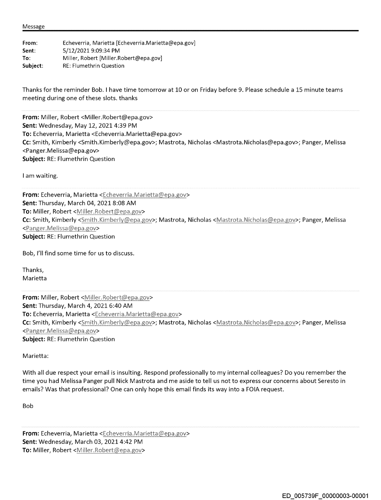Message

| From:    | Echeverria, Marietta [Echeverria.Marietta@epa.gov] |
|----------|----------------------------------------------------|
| Sent:    | 5/12/2021 9:09:34 PM                               |
| To:      | Miller, Robert [Miller, Robert@epa.gov]            |
| Subject: | <b>RE: Flumethrin Question</b>                     |

Thanks for the reminder Bob. I have time tomorrow at 10 or on Friday before 9. Please schedule a 15 minute teams meeting during one of these slots. thanks

From: Miller, Robert <Miller.Robert@epa.gov> Sent: Wednesday, May 12, 2021 4:39 PM To: Echeverria, Marietta <Echeverria.Marietta@epa.gov> Cc: Smith, Kimberly <Smith.Kimberly@epa.gov>; Mastrota, Nicholas <Mastrota.Nicholas@epa.gov>; Panger, Melissa <Panger. Melissa@epa.gov> Subject: RE: Flumethrin Question

I am waiting.

From: Echeverria, Marietta <Echeverria.Marietta@epa.gov> Sent: Thursday, March 04, 2021 8:08 AM To: Miller, Robert < Miller. Robert@epa.gov> Cc: Smith, Kimberly <Smith.Kimberlv@epa.gov>; Mastrota, Nicholas <Mastrota.Nichoias@epa.gov>; Panger, Melissa <Panger,Melissa@epa.gov> Subject: RE: Flumethrin Question

Bob, I'll find some time for us to discuss.

Thanks, Marietta

From: Miller, Robert <Miller.Robert@epa.gov> Sent: Thursday, March 4, 2021 6:40 AM To: Echeverria, Marietta <Echeverria.Marietta@epa.gov> Cc: Smith, Kimberly <Smith.Kimberly@epa.gov>; Mastrota, Nicholas <Mastrota.Nicholas@epa.gov>; Panger, Melissa <Panger.Melissa@epa.gov> Subject: RE: Flumethrin Question

Marietta:

With all due respect your email is insulting. Respond professionally to my internal colleagues? Do you remember the time you had Melissa Panger pull Nick Mastrota and me aside to tell us not to express our concerns about Seresto in emails? Was that professional? One can only hope this email finds its way into a FOIA request.

Bob

From: Echeverria, Marietta <Echeverria.Marietta@epa.gov> Sent: Wednesday, March 03, 2021 4:42 PM To: Miller, Robert <Miller.Robert@epa.gov>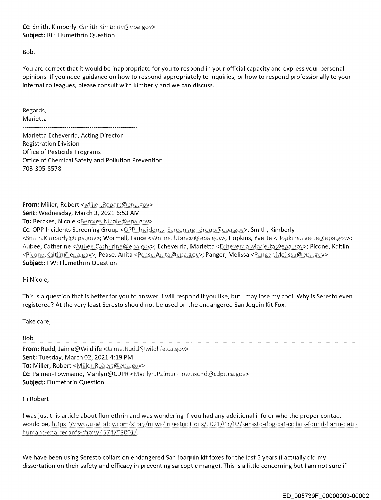## Cc: Smith, Kimberly <Smith.Kimberly@epa.gov> Subject: RE: Flumethrin Question

Bob,

You are correct that it would be inappropriate for you to respond in your official capacity and express your personal opinions. If you need guidance on how to respond appropriately to inquiries, or how to respond professionally to your internal colleagues, please consult with Kimberly and we can discuss.

Regards, Marietta

Marietta Echeverria, Acting Director Registration Division Office of Pesticide Programs Office of Chemical Safety and Pollution Prevention 703-305-8578

From: Miller, Robert <Miller.Robert@epa.gov> Sent: Wednesday, March 3, 2021 6:53 AM To: Berckes, Nicole <Berckes, Nicole@epa.gov> **Cc:** OPP Incidents Screening Group <OPP Incidents Screening Group@epa.gov>; Smith, Kimberly <Smith.Kimberly@epa.gov>; Wormell, Lance <Wormell.Lance@epa.gov>; Hopkins, Yvette <\!opkins.Yvette@epa.gov>; Aubee, Catherine <Aubee,Catherine@epa,gov>; Echeverria, Marietta <Echeverria,Marietta@epa.gov>; Picone, Kaitlin <Picone.Kaitlin@epa.gov>; Pease, Anita <Pease.Anita@epa.gov>; Panger, Melissa <Panger.Melissa@epa.gov> Subject: FW: Flumethrin Question

Hi Nicole,

This is a question that is better for you to answer. 1 will respond if you like, but I may lose my cool. Why is Seresto even registered? At the very least Seresto should not be used on the endangered San Joquin Kit Fox.

Take care,

Bob

From: Rudd, Jaime@ Wildlife < Jaime. Rudd@wildlife.ca.gov> Sent: Tuesday, March 02, 2021 4:19 PM To: Miller, Robert <Miller, Robert@epa.gov> Cc: Palmer-Townsend, Marilyn@CDPR <Marilyn.Palmer-Townsend@cdpr.ca.gov> Subject: Flumethrin Question

Hi Robert-

1 was just this article about flumethrin and was wondering if you had any additional info or who the proper contact would be, https://www.usatoday.com/story/news/investigations/2021/03/02/seresto-dog-cat-collars-found-harm-petshumans-epa-records-show/4574753001/.

We have been using Seresto collars on endangered San Joaquin kit foxes for the last 5 years (I actually did my dissertation on their safety and efficacy in preventing sarcoptic mange). This is a little concerning but 1 am not sure if